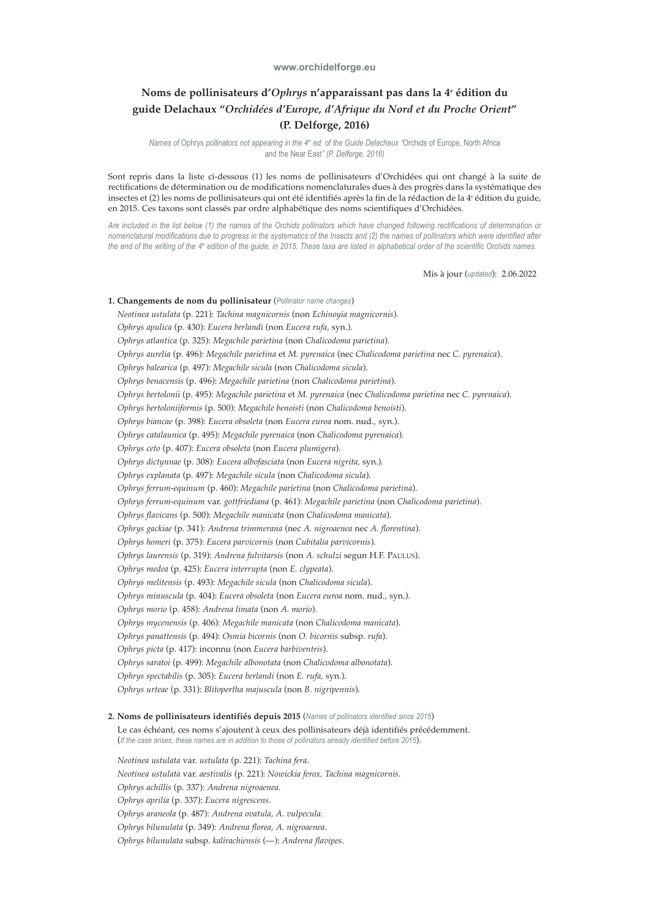## **www.orchidelforge.eu**

## **Noms de pollinisateurs d'***Ophrys* **n'apparaissant pas dans la 4e édition du guide Delachaux "***Orchidées d'Europe, d'Afrique du Nord et du Proche Orient***" (P. Delforge, 2016)**

*Names of Ophrys pollinators not appearing in the 4<sup>th</sup> ed. of the Guide Delachaux "Orchids of Europe, North Africa* and the Near East*" (P. Delforge, 2016)*

Sont repris dans la liste ci-dessous (1) les noms de pollinisateurs d'Orchidées qui ont changé à la suite de rectifications de détermination ou de modifications nomenclaturales dues à des progrès dans la systématique des insectes et (2) les noms de pollinisateurs qui ont été identifiés après la fin de la rédaction de la 4<sup>e</sup> édition du guide, en 2015. Ces taxons sont classés par ordre alphabétique des noms scientifiques d'Orchidées.

*Are included in the list below (1) the names of the Orchids pollinators which have changed following rectifications of determination or nomenclatural modifications due to progress in the systematics of the Insects and (2) the names of pollinators which were identified after the end of the writing of the 4th edition of the guide, in 2015. These taxa are listed in alphabetical order of the scientific Orchids names.* 

Mis à jour (*updated*): 2.06.2022

**1. Changements de nom du pollinisateur** (*Pollinator name changes*) *Neotinea ustulata* (p. 221): *Tachina magnicornis* (non *Echinoyia magnicornis*). *Ophrys apulica* (p. 430): *Eucera berlandi* (non *Eucera rufa,* syn.). *Ophrys atlantica* (p. 325): *Megachile parietina* (non *Chalicodoma parietina*). *Ophrys aurelia* (p. 496): *Megachile parietina* et *M. pyrenaica* (nec *Chalicodoma parietina* nec *C. pyrenaica*). *Ophrys balearica* (p. 497): *Megachile sicula* (non *Chalicodoma sicula*). *Ophrys benacensis* (p. 496): *Megachile parietina* (non *Chalicodoma parietina*). *Ophrys bertolonii* (p. 495): *Megachile parietina* et *M. pyrenaica* (nec *Chalicodoma parietina* nec *C. pyrenaica*). *Ophrys bertoloniiformis* (p. 500): *Megachile benoisti* (non *Chalicodoma benoisti*). *Ophrys biancae* (p. 398): *Eucera obsoleta* (non *Eucera euroa* nom. nud.*,* syn.). *Ophrys catalaunica* (p. 495): *Megachile pyrenaica* (non *Chalicodoma pyrenaica*). *Ophrys ceto* (p. 407): *Eucera obsoleta* (non *Eucera plumigera*). *Ophrys dictynnae* (p. 308): *Eucera albofasciata* (non *Eucera nigrita,* syn.)*. Ophrys explanata* (p. 497): *Megachile sicula* (non *Chalicodoma sicula*). *Ophrys ferrum-equinum* (p. 460): *Megachile parietina* (non *Chalicodoma parietina*). *Ophrys ferrum-equinum* var. *gottfriediana* (p. 461): *Megachile parietina* (non *Chalicodoma parietina*). *Ophrys flavicans* (p. 500): *Megachile manicata* (non *Chalicodoma manicata*). *Ophrys gackiae* (p. 341): *Andrena trimmerana* (nec *A. nigroaenea* nec *A. florentina*). *Ophrys homeri* (p. 375): *Eucera parvicornis* (non *Cubitalia parvicornis*). *Ophrys laurensis* (p. 319): *Andrena fulvitarsis* (non *A. schulzi* segun H.F. PAULUS). *Ophrys medea* (p. 425): *Eucera interrupta* (non *E. clypeata*). *Ophrys melitensis* (p. 493): *Megachile sicula* (non *Chalicodoma sicula*). *Ophrys minuscula* (p. 404): *Eucera obsoleta* (non *Eucera euroa* nom. nud.*,* syn.). *Ophrys morio* (p. 458): *Andrena limata* (non *A. morio*). *Ophrys mycenensis* (p. 406): *Megachile manicata* (non *Chalicodoma manicata*). *Ophrys panattensis* (p. 494): *Osmia bicornis* (non *O. bicornis* subsp. *rufa*). *Ophrys picta* (p. 417): inconnu (non *Eucera barbiventris*). *Ophrys saratoi* (p. 499): *Megachile albonotata* (non *Chalicodoma albonotata*). *Ophrys spectabilis* (p. 305): *Eucera berlandi* (non *E. rufa,* syn.). *Ophrys urteae* (p. 331): *Blitopertha majuscula* (non *B. nigripennis*).

**2. Noms de pollinisateurs identifiés depuis 2015** (*Names of pollinators identified since 2015*)

Le cas échéant, ces noms s'ajoutent à ceux des pollinisateurs déjà identifiés précédemment. (*If the case arises, these names are in addition to those of pollinators already identified before 2015*).

*Neotinea ustulata* var. *ustulata* (p. 221): *Tachina fera*. *Neotinea ustulata* var. *aestivalis* (p. 221): *Nowickia ferox, Tachina magnicornis*. *Ophrys achillis* (p. 337): *Andrena nigroaenea*. *Ophrys aprilia* (p. 337): *Eucera nigrescens*. *Ophrys araneola* (p. 487): *Andrena ovatula, A. vulpecula*. *Ophrys bilunulata* (p. 349): *Andrena florea, A. nigroaenea*. *Ophrys bilunulata* subsp. *kalirachiensis* (—): *Andrena flavipes*.